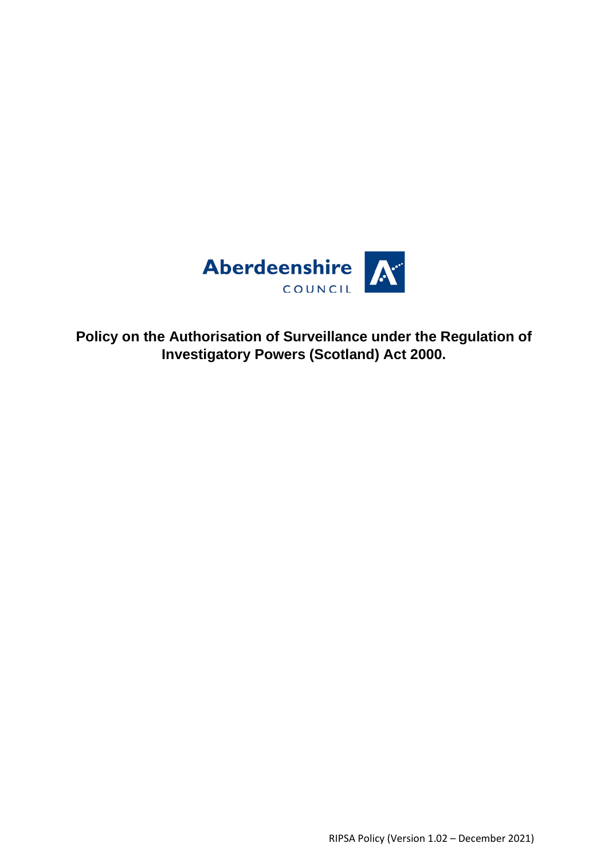

**Policy on the Authorisation of Surveillance under the Regulation of Investigatory Powers (Scotland) Act 2000.**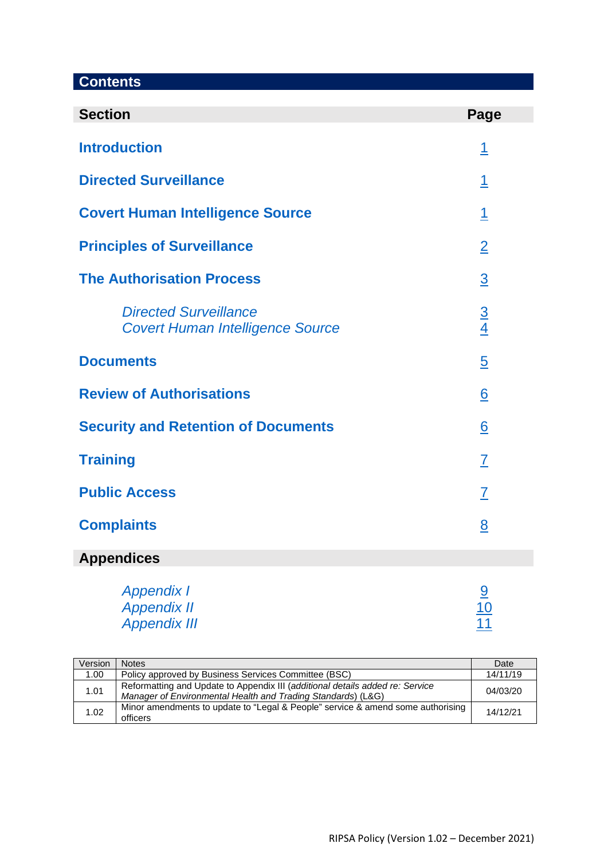# **Contents**

| <b>Section</b>                                                          | Page            |
|-------------------------------------------------------------------------|-----------------|
| <b>Introduction</b>                                                     | <u>1</u>        |
| <b>Directed Surveillance</b>                                            | $\overline{1}$  |
| <b>Covert Human Intelligence Source</b>                                 | <u> 1</u>       |
| <b>Principles of Surveillance</b>                                       | $\overline{2}$  |
| <b>The Authorisation Process</b>                                        | $\overline{3}$  |
| <b>Directed Surveillance</b><br><b>Covert Human Intelligence Source</b> | $\frac{3}{4}$   |
| <b>Documents</b>                                                        | $\overline{5}$  |
| <b>Review of Authorisations</b>                                         | $\underline{6}$ |
| <b>Security and Retention of Documents</b>                              | $\underline{6}$ |
| <b>Training</b>                                                         | $\overline{L}$  |
| <b>Public Access</b>                                                    | $\overline{I}$  |
| <b>Complaints</b>                                                       | 8               |
| <b>Appendices</b>                                                       |                 |

# [Appendix I](#page-10-0) [9](#page-10-0) and 2008 and 2008 and 2008 and 2008 and 2008 and 2008 and 2008 and 2008 and 2008 and 2008 and 200 [Appendix II](#page-11-0) and the second second second second second second second second second second second second second second second second second second second second second second second second second second second second second [Appendix III](#page-12-0) **[11](#page-12-0)**

<span id="page-1-0"></span>

| Version | <b>Notes</b>                                                                                                                                  | Date     |
|---------|-----------------------------------------------------------------------------------------------------------------------------------------------|----------|
| 1.00    | Policy approved by Business Services Committee (BSC)                                                                                          | 14/11/19 |
| 1.01    | Reformatting and Update to Appendix III (additional details added re: Service<br>Manager of Environmental Health and Trading Standards) (L&G) | 04/03/20 |
| 1.02    | Minor amendments to update to "Legal & People" service & amend some authorising<br>officers                                                   | 14/12/21 |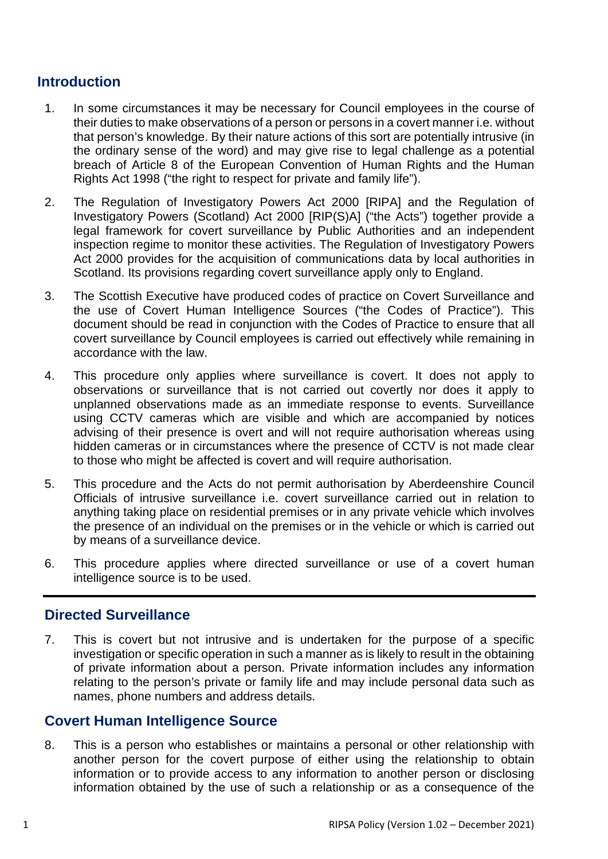# **Introduction**

- 1. In some circumstances it may be necessary for Council employees in the course of their duties to make observations of a person or persons in a covert manner i.e. without that person's knowledge. By their nature actions of this sort are potentially intrusive (in the ordinary sense of the word) and may give rise to legal challenge as a potential breach of Article 8 of the European Convention of Human Rights and the Human Rights Act 1998 ("the right to respect for private and family life").
- 2. The Regulation of Investigatory Powers Act 2000 [RIPA] and the Regulation of Investigatory Powers (Scotland) Act 2000 [RIP(S)A] ("the Acts") together provide a legal framework for covert surveillance by Public Authorities and an independent inspection regime to monitor these activities. The Regulation of Investigatory Powers Act 2000 provides for the acquisition of communications data by local authorities in Scotland. Its provisions regarding covert surveillance apply only to England.
- 3. The Scottish Executive have produced codes of practice on Covert Surveillance and the use of Covert Human Intelligence Sources ("the Codes of Practice"). This document should be read in conjunction with the Codes of Practice to ensure that all covert surveillance by Council employees is carried out effectively while remaining in accordance with the law.
- 4. This procedure only applies where surveillance is covert. It does not apply to observations or surveillance that is not carried out covertly nor does it apply to unplanned observations made as an immediate response to events. Surveillance using CCTV cameras which are visible and which are accompanied by notices advising of their presence is overt and will not require authorisation whereas using hidden cameras or in circumstances where the presence of CCTV is not made clear to those who might be affected is covert and will require authorisation.
- 5. This procedure and the Acts do not permit authorisation by Aberdeenshire Council Officials of intrusive surveillance i.e. covert surveillance carried out in relation to anything taking place on residential premises or in any private vehicle which involves the presence of an individual on the premises or in the vehicle or which is carried out by means of a surveillance device.
- 6. This procedure applies where directed surveillance or use of a covert human intelligence source is to be used.

## <span id="page-2-0"></span>**Directed Surveillance**

7. This is covert but not intrusive and is undertaken for the purpose of a specific investigation or specific operation in such a manner as is likely to result in the obtaining of private information about a person. Private information includes any information relating to the person's private or family life and may include personal data such as names, phone numbers and address details.

# <span id="page-2-1"></span>**Covert Human Intelligence Source**

8. This is a person who establishes or maintains a personal or other relationship with another person for the covert purpose of either using the relationship to obtain information or to provide access to any information to another person or disclosing information obtained by the use of such a relationship or as a consequence of the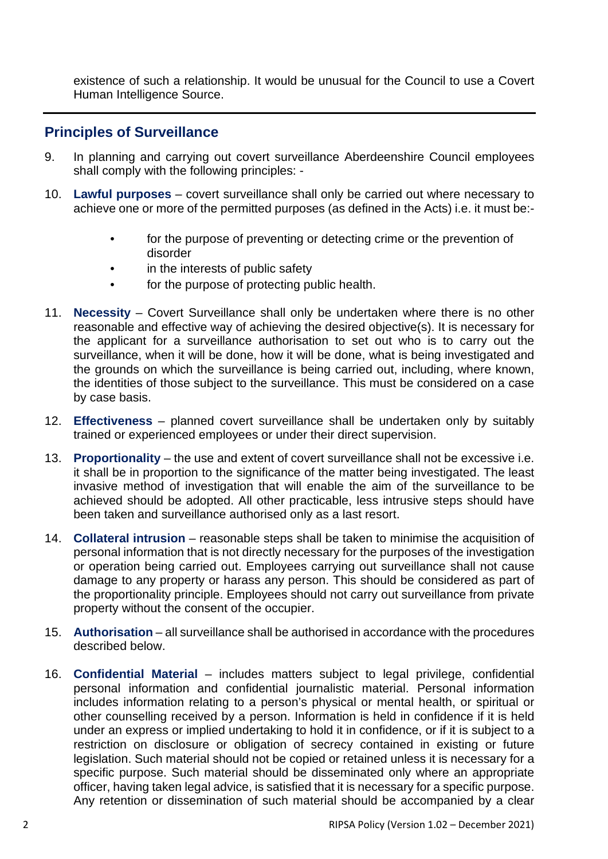existence of such a relationship. It would be unusual for the Council to use a Covert Human Intelligence Source.

## <span id="page-3-0"></span>**Principles of Surveillance**

- 9. In planning and carrying out covert surveillance Aberdeenshire Council employees shall comply with the following principles: -
- 10. **Lawful purposes**  covert surveillance shall only be carried out where necessary to achieve one or more of the permitted purposes (as defined in the Acts) i.e. it must be:-
	- for the purpose of preventing or detecting crime or the prevention of disorder
	- in the interests of public safety
	- for the purpose of protecting public health.
- 11. **Necessity** Covert Surveillance shall only be undertaken where there is no other reasonable and effective way of achieving the desired objective(s). It is necessary for the applicant for a surveillance authorisation to set out who is to carry out the surveillance, when it will be done, how it will be done, what is being investigated and the grounds on which the surveillance is being carried out, including, where known, the identities of those subject to the surveillance. This must be considered on a case by case basis.
- 12. **Effectiveness** planned covert surveillance shall be undertaken only by suitably trained or experienced employees or under their direct supervision.
- 13. **Proportionality**  the use and extent of covert surveillance shall not be excessive i.e. it shall be in proportion to the significance of the matter being investigated. The least invasive method of investigation that will enable the aim of the surveillance to be achieved should be adopted. All other practicable, less intrusive steps should have been taken and surveillance authorised only as a last resort.
- 14. **Collateral intrusion**  reasonable steps shall be taken to minimise the acquisition of personal information that is not directly necessary for the purposes of the investigation or operation being carried out. Employees carrying out surveillance shall not cause damage to any property or harass any person. This should be considered as part of the proportionality principle. Employees should not carry out surveillance from private property without the consent of the occupier.
- 15. **Authorisation** all surveillance shall be authorised in accordance with the procedures described below.
- 16. **Confidential Material**  includes matters subject to legal privilege, confidential personal information and confidential journalistic material. Personal information includes information relating to a person's physical or mental health, or spiritual or other counselling received by a person. Information is held in confidence if it is held under an express or implied undertaking to hold it in confidence, or if it is subject to a restriction on disclosure or obligation of secrecy contained in existing or future legislation. Such material should not be copied or retained unless it is necessary for a specific purpose. Such material should be disseminated only where an appropriate officer, having taken legal advice, is satisfied that it is necessary for a specific purpose. Any retention or dissemination of such material should be accompanied by a clear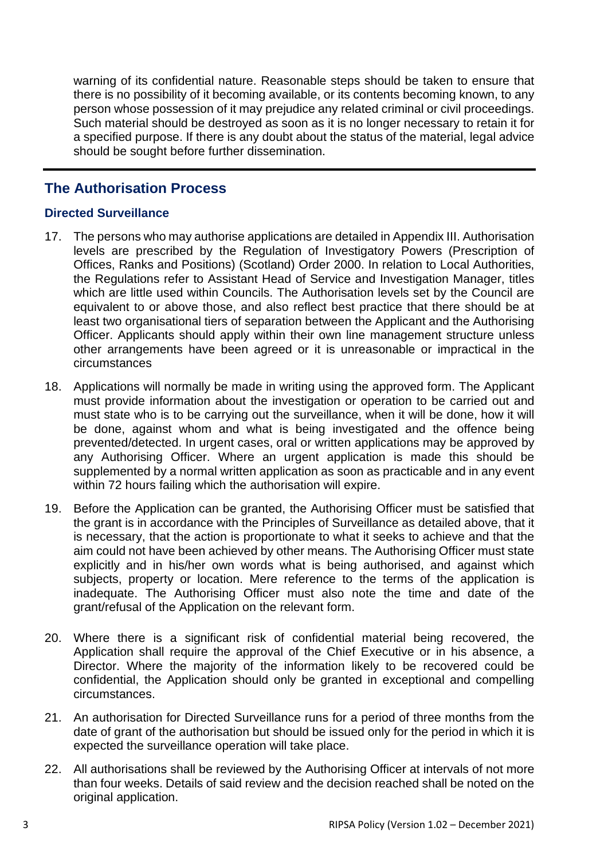warning of its confidential nature. Reasonable steps should be taken to ensure that there is no possibility of it becoming available, or its contents becoming known, to any person whose possession of it may prejudice any related criminal or civil proceedings. Such material should be destroyed as soon as it is no longer necessary to retain it for a specified purpose. If there is any doubt about the status of the material, legal advice should be sought before further dissemination.

## <span id="page-4-0"></span>**The Authorisation Process**

#### <span id="page-4-1"></span>**Directed Surveillance**

- 17. The persons who may authorise applications are detailed in Appendix III. Authorisation levels are prescribed by the Regulation of Investigatory Powers (Prescription of Offices, Ranks and Positions) (Scotland) Order 2000. In relation to Local Authorities, the Regulations refer to Assistant Head of Service and Investigation Manager, titles which are little used within Councils. The Authorisation levels set by the Council are equivalent to or above those, and also reflect best practice that there should be at least two organisational tiers of separation between the Applicant and the Authorising Officer. Applicants should apply within their own line management structure unless other arrangements have been agreed or it is unreasonable or impractical in the circumstances
- 18. Applications will normally be made in writing using the approved form. The Applicant must provide information about the investigation or operation to be carried out and must state who is to be carrying out the surveillance, when it will be done, how it will be done, against whom and what is being investigated and the offence being prevented/detected. In urgent cases, oral or written applications may be approved by any Authorising Officer. Where an urgent application is made this should be supplemented by a normal written application as soon as practicable and in any event within 72 hours failing which the authorisation will expire.
- 19. Before the Application can be granted, the Authorising Officer must be satisfied that the grant is in accordance with the Principles of Surveillance as detailed above, that it is necessary, that the action is proportionate to what it seeks to achieve and that the aim could not have been achieved by other means. The Authorising Officer must state explicitly and in his/her own words what is being authorised, and against which subjects, property or location. Mere reference to the terms of the application is inadequate. The Authorising Officer must also note the time and date of the grant/refusal of the Application on the relevant form.
- 20. Where there is a significant risk of confidential material being recovered, the Application shall require the approval of the Chief Executive or in his absence, a Director. Where the majority of the information likely to be recovered could be confidential, the Application should only be granted in exceptional and compelling circumstances.
- 21. An authorisation for Directed Surveillance runs for a period of three months from the date of grant of the authorisation but should be issued only for the period in which it is expected the surveillance operation will take place.
- 22. All authorisations shall be reviewed by the Authorising Officer at intervals of not more than four weeks. Details of said review and the decision reached shall be noted on the original application.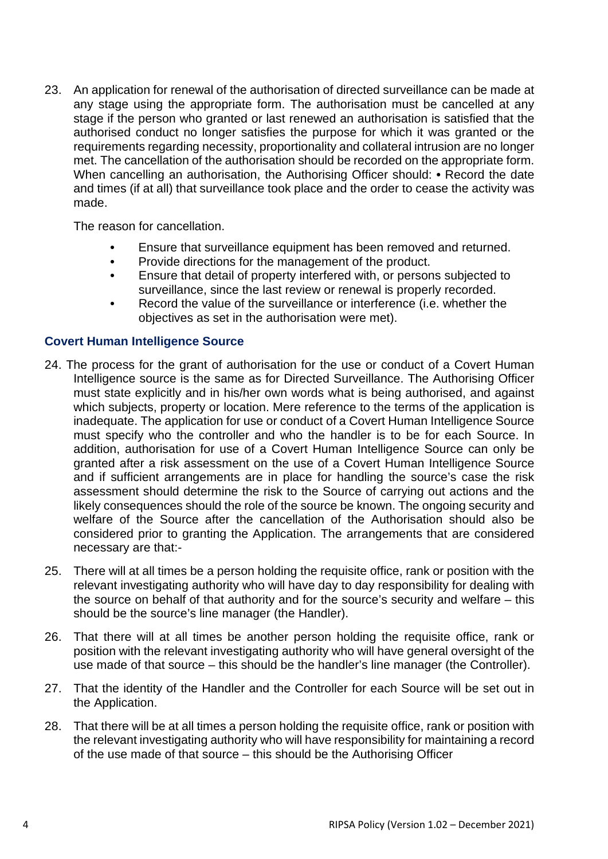23. An application for renewal of the authorisation of directed surveillance can be made at any stage using the appropriate form. The authorisation must be cancelled at any stage if the person who granted or last renewed an authorisation is satisfied that the authorised conduct no longer satisfies the purpose for which it was granted or the requirements regarding necessity, proportionality and collateral intrusion are no longer met. The cancellation of the authorisation should be recorded on the appropriate form. When cancelling an authorisation, the Authorising Officer should: **•** Record the date and times (if at all) that surveillance took place and the order to cease the activity was made.

The reason for cancellation.

- Ensure that surveillance equipment has been removed and returned.
- Provide directions for the management of the product.
- Ensure that detail of property interfered with, or persons subjected to surveillance, since the last review or renewal is properly recorded.
- Record the value of the surveillance or interference (i.e. whether the objectives as set in the authorisation were met).

#### <span id="page-5-0"></span>**Covert Human Intelligence Source**

- 24. The process for the grant of authorisation for the use or conduct of a Covert Human Intelligence source is the same as for Directed Surveillance. The Authorising Officer must state explicitly and in his/her own words what is being authorised, and against which subjects, property or location. Mere reference to the terms of the application is inadequate. The application for use or conduct of a Covert Human Intelligence Source must specify who the controller and who the handler is to be for each Source. In addition, authorisation for use of a Covert Human Intelligence Source can only be granted after a risk assessment on the use of a Covert Human Intelligence Source and if sufficient arrangements are in place for handling the source's case the risk assessment should determine the risk to the Source of carrying out actions and the likely consequences should the role of the source be known. The ongoing security and welfare of the Source after the cancellation of the Authorisation should also be considered prior to granting the Application. The arrangements that are considered necessary are that:-
- 25. There will at all times be a person holding the requisite office, rank or position with the relevant investigating authority who will have day to day responsibility for dealing with the source on behalf of that authority and for the source's security and welfare – this should be the source's line manager (the Handler).
- 26. That there will at all times be another person holding the requisite office, rank or position with the relevant investigating authority who will have general oversight of the use made of that source – this should be the handler's line manager (the Controller).
- 27. That the identity of the Handler and the Controller for each Source will be set out in the Application.
- 28. That there will be at all times a person holding the requisite office, rank or position with the relevant investigating authority who will have responsibility for maintaining a record of the use made of that source – this should be the Authorising Officer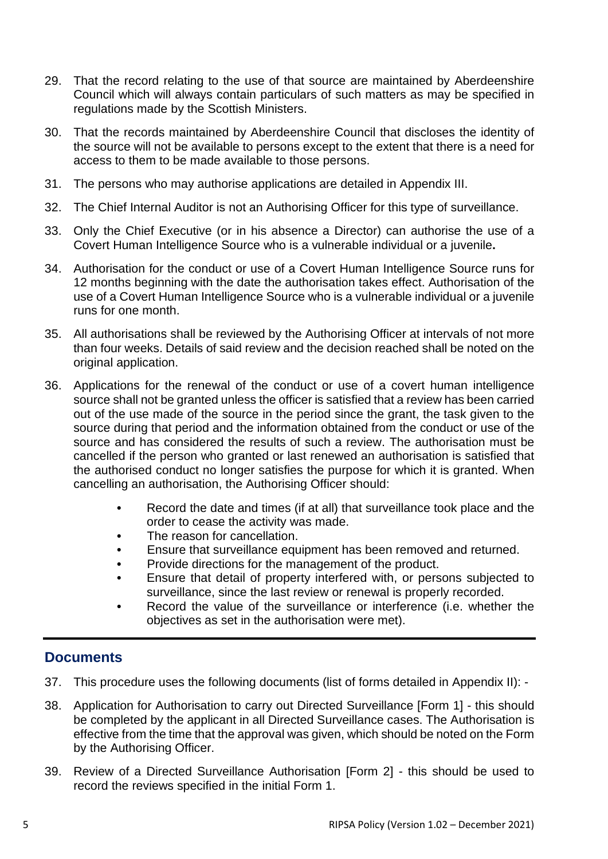- 29. That the record relating to the use of that source are maintained by Aberdeenshire Council which will always contain particulars of such matters as may be specified in regulations made by the Scottish Ministers.
- 30. That the records maintained by Aberdeenshire Council that discloses the identity of the source will not be available to persons except to the extent that there is a need for access to them to be made available to those persons.
- 31. The persons who may authorise applications are detailed in Appendix III.
- 32. The Chief Internal Auditor is not an Authorising Officer for this type of surveillance.
- 33. Only the Chief Executive (or in his absence a Director) can authorise the use of a Covert Human Intelligence Source who is a vulnerable individual or a juvenile**.**
- 34. Authorisation for the conduct or use of a Covert Human Intelligence Source runs for 12 months beginning with the date the authorisation takes effect. Authorisation of the use of a Covert Human Intelligence Source who is a vulnerable individual or a juvenile runs for one month.
- 35. All authorisations shall be reviewed by the Authorising Officer at intervals of not more than four weeks. Details of said review and the decision reached shall be noted on the original application.
- 36. Applications for the renewal of the conduct or use of a covert human intelligence source shall not be granted unless the officer is satisfied that a review has been carried out of the use made of the source in the period since the grant, the task given to the source during that period and the information obtained from the conduct or use of the source and has considered the results of such a review. The authorisation must be cancelled if the person who granted or last renewed an authorisation is satisfied that the authorised conduct no longer satisfies the purpose for which it is granted. When cancelling an authorisation, the Authorising Officer should:
	- Record the date and times (if at all) that surveillance took place and the order to cease the activity was made.
	- The reason for cancellation.
	- Ensure that surveillance equipment has been removed and returned.
	- Provide directions for the management of the product.
	- Ensure that detail of property interfered with, or persons subjected to surveillance, since the last review or renewal is properly recorded.
	- Record the value of the surveillance or interference (i.e. whether the objectives as set in the authorisation were met).

# <span id="page-6-0"></span>**Documents**

- 37. This procedure uses the following documents (list of forms detailed in Appendix II): -
- 38. Application for Authorisation to carry out Directed Surveillance [Form 1] this should be completed by the applicant in all Directed Surveillance cases. The Authorisation is effective from the time that the approval was given, which should be noted on the Form by the Authorising Officer.
- 39. Review of a Directed Surveillance Authorisation [Form 2] this should be used to record the reviews specified in the initial Form 1.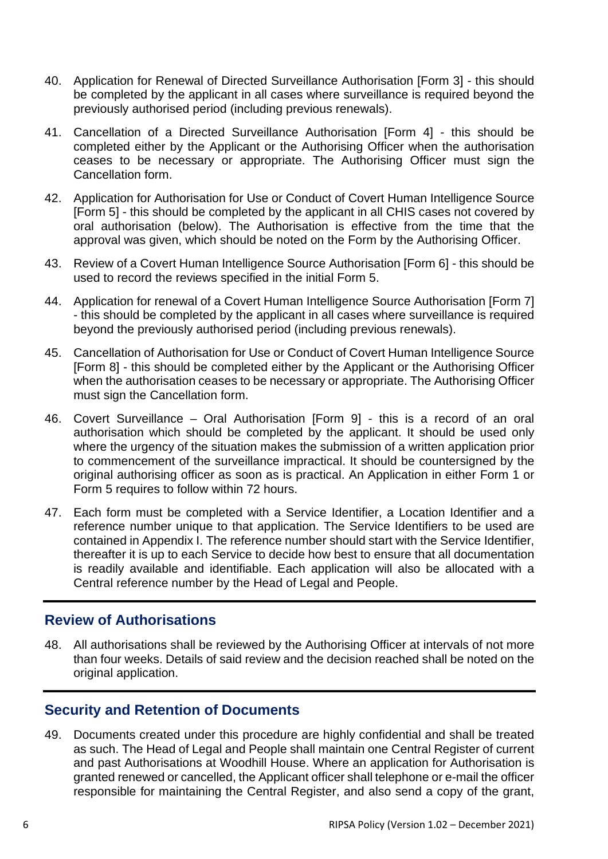- 40. Application for Renewal of Directed Surveillance Authorisation [Form 3] this should be completed by the applicant in all cases where surveillance is required beyond the previously authorised period (including previous renewals).
- 41. Cancellation of a Directed Surveillance Authorisation [Form 4] this should be completed either by the Applicant or the Authorising Officer when the authorisation ceases to be necessary or appropriate. The Authorising Officer must sign the Cancellation form.
- 42. Application for Authorisation for Use or Conduct of Covert Human Intelligence Source [Form 5] - this should be completed by the applicant in all CHIS cases not covered by oral authorisation (below). The Authorisation is effective from the time that the approval was given, which should be noted on the Form by the Authorising Officer.
- 43. Review of a Covert Human Intelligence Source Authorisation [Form 6] this should be used to record the reviews specified in the initial Form 5.
- 44. Application for renewal of a Covert Human Intelligence Source Authorisation [Form 7] - this should be completed by the applicant in all cases where surveillance is required beyond the previously authorised period (including previous renewals).
- 45. Cancellation of Authorisation for Use or Conduct of Covert Human Intelligence Source [Form 8] - this should be completed either by the Applicant or the Authorising Officer when the authorisation ceases to be necessary or appropriate. The Authorising Officer must sign the Cancellation form.
- 46. Covert Surveillance Oral Authorisation [Form 9] this is a record of an oral authorisation which should be completed by the applicant. It should be used only where the urgency of the situation makes the submission of a written application prior to commencement of the surveillance impractical. It should be countersigned by the original authorising officer as soon as is practical. An Application in either Form 1 or Form 5 requires to follow within 72 hours.
- 47. Each form must be completed with a Service Identifier, a Location Identifier and a reference number unique to that application. The Service Identifiers to be used are contained in Appendix I. The reference number should start with the Service Identifier, thereafter it is up to each Service to decide how best to ensure that all documentation is readily available and identifiable. Each application will also be allocated with a Central reference number by the Head of Legal and People.

## <span id="page-7-0"></span>**Review of Authorisations**

48. All authorisations shall be reviewed by the Authorising Officer at intervals of not more than four weeks. Details of said review and the decision reached shall be noted on the original application.

## <span id="page-7-1"></span>**Security and Retention of Documents**

49. Documents created under this procedure are highly confidential and shall be treated as such. The Head of Legal and People shall maintain one Central Register of current and past Authorisations at Woodhill House. Where an application for Authorisation is granted renewed or cancelled, the Applicant officer shall telephone or e-mail the officer responsible for maintaining the Central Register, and also send a copy of the grant,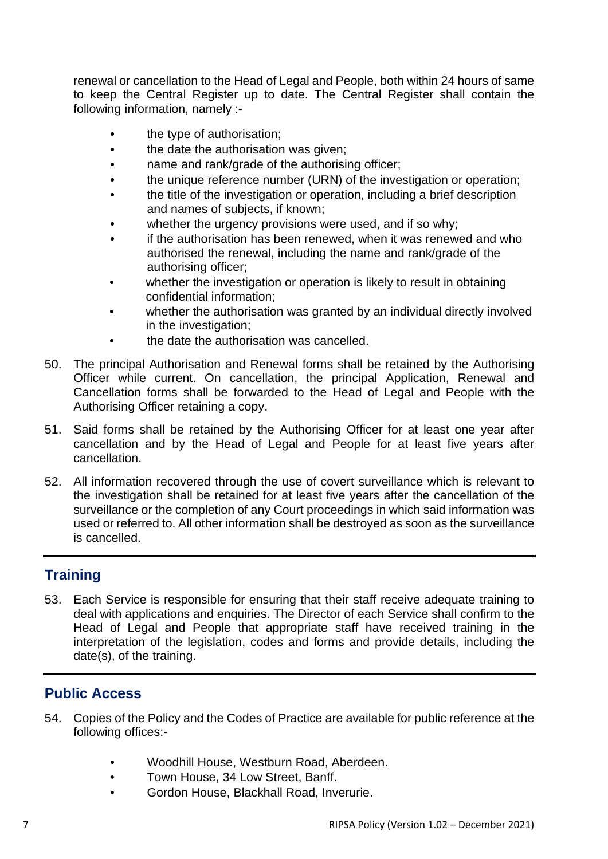renewal or cancellation to the Head of Legal and People, both within 24 hours of same to keep the Central Register up to date. The Central Register shall contain the following information, namely :-

- the type of authorisation;
- the date the authorisation was given;
- name and rank/grade of the authorising officer;
- the unique reference number (URN) of the investigation or operation;
- the title of the investigation or operation, including a brief description and names of subjects, if known;
- whether the urgency provisions were used, and if so why;
- if the authorisation has been renewed, when it was renewed and who authorised the renewal, including the name and rank/grade of the authorising officer;
- whether the investigation or operation is likely to result in obtaining confidential information;
- whether the authorisation was granted by an individual directly involved in the investigation;
- the date the authorisation was cancelled.
- 50. The principal Authorisation and Renewal forms shall be retained by the Authorising Officer while current. On cancellation, the principal Application, Renewal and Cancellation forms shall be forwarded to the Head of Legal and People with the Authorising Officer retaining a copy.
- 51. Said forms shall be retained by the Authorising Officer for at least one year after cancellation and by the Head of Legal and People for at least five years after cancellation.
- 52. All information recovered through the use of covert surveillance which is relevant to the investigation shall be retained for at least five years after the cancellation of the surveillance or the completion of any Court proceedings in which said information was used or referred to. All other information shall be destroyed as soon as the surveillance is cancelled.

# <span id="page-8-0"></span>**Training**

53. Each Service is responsible for ensuring that their staff receive adequate training to deal with applications and enquiries. The Director of each Service shall confirm to the Head of Legal and People that appropriate staff have received training in the interpretation of the legislation, codes and forms and provide details, including the date(s), of the training.

# <span id="page-8-1"></span>**Public Access**

- 54. Copies of the Policy and the Codes of Practice are available for public reference at the following offices:-
	- Woodhill House, Westburn Road, Aberdeen.
	- Town House, 34 Low Street, Banff.
	- Gordon House, Blackhall Road, Inverurie.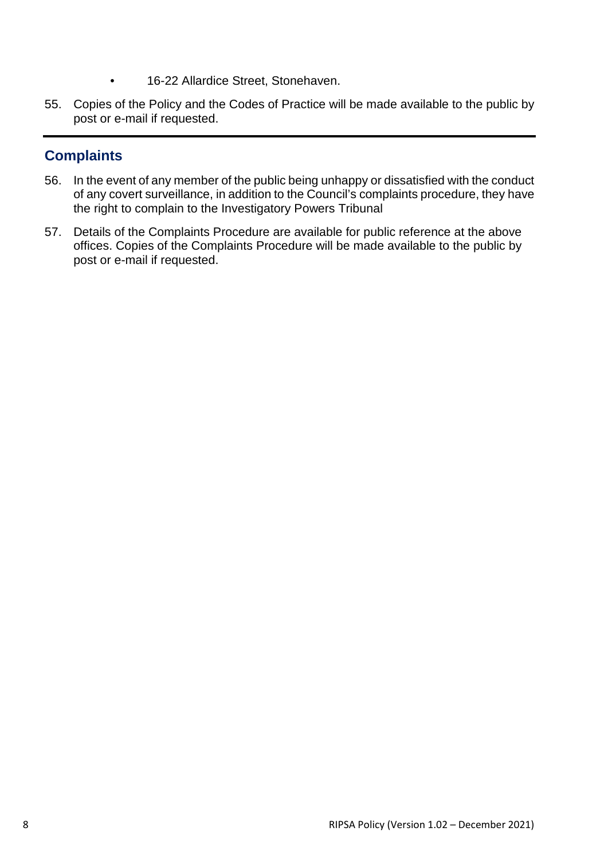- 16-22 Allardice Street, Stonehaven.
- 55. Copies of the Policy and the Codes of Practice will be made available to the public by post or e-mail if requested.

# <span id="page-9-0"></span>**Complaints**

- 56. In the event of any member of the public being unhappy or dissatisfied with the conduct of any covert surveillance, in addition to the Council's complaints procedure, they have the right to complain to the Investigatory Powers Tribunal
- 57. Details of the Complaints Procedure are available for public reference at the above offices. Copies of the Complaints Procedure will be made available to the public by post or e-mail if requested.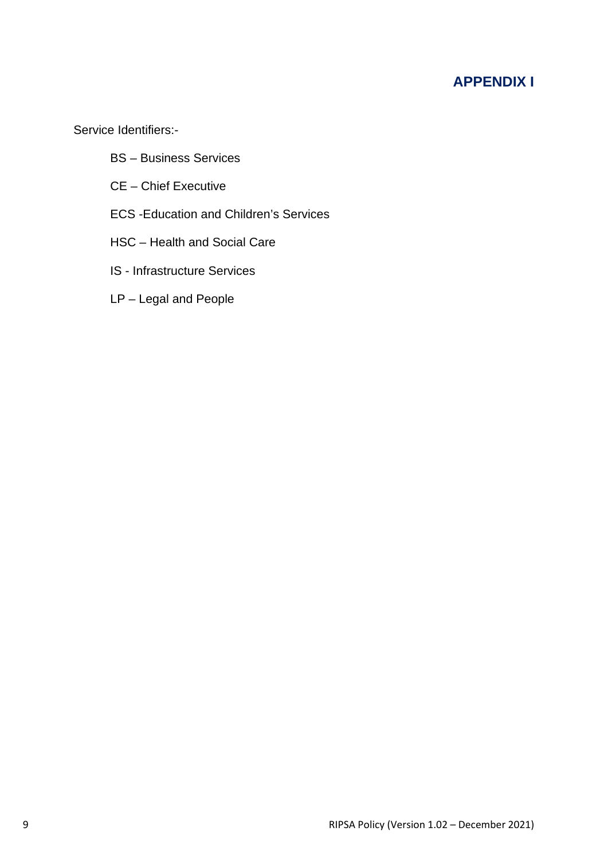# **APPENDIX I**

<span id="page-10-0"></span>Service Identifiers:-

- BS Business Services
- CE Chief Executive
- ECS -Education and Children's Services
- HSC Health and Social Care
- IS Infrastructure Services
- LP Legal and People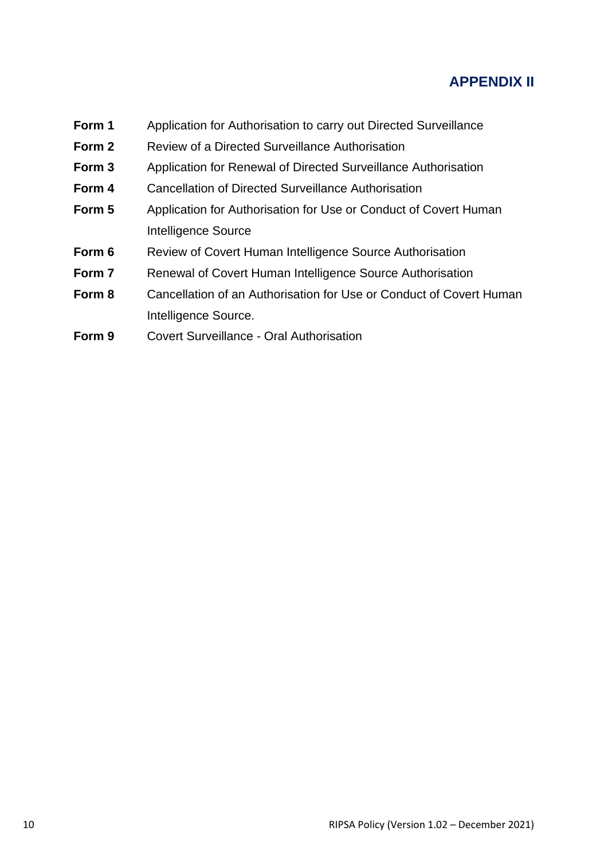# **APPENDIX II**

- <span id="page-11-0"></span>**Form 1** Application for Authorisation to carry out Directed Surveillance
- **Form 2** Review of a Directed Surveillance Authorisation
- **Form 3** Application for Renewal of Directed Surveillance Authorisation
- **Form 4** Cancellation of Directed Surveillance Authorisation
- **Form 5** Application for Authorisation for Use or Conduct of Covert Human Intelligence Source
- **Form 6** Review of Covert Human Intelligence Source Authorisation
- **Form 7** Renewal of Covert Human Intelligence Source Authorisation
- **Form 8** Cancellation of an Authorisation for Use or Conduct of Covert Human Intelligence Source.
- **Form 9** Covert Surveillance Oral Authorisation